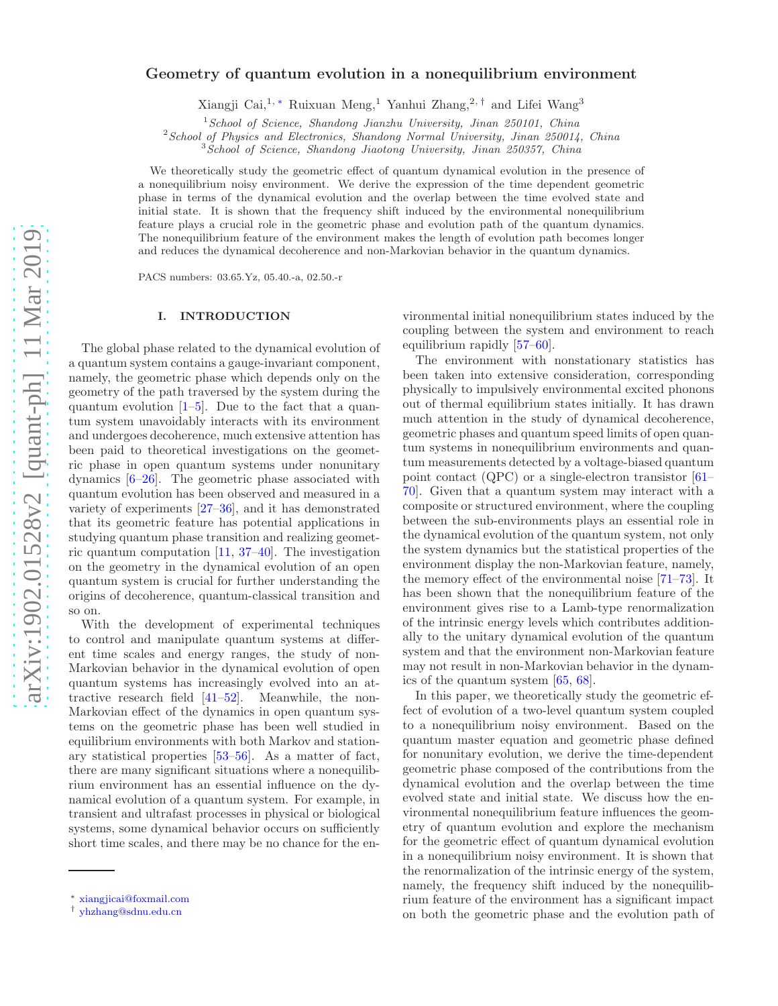## Geometry of quantum evolution in a nonequilibrium environment

Xiangji Cai,<sup>1, ∗</sup> Ruixuan Meng,<sup>1</sup> Yanhui Zhang,<sup>2,†</sup> and Lifei Wang<sup>3</sup>

 $1$ School of Science, Shandong Jianzhu University, Jinan 250101, China

 $2$ School of Physics and Electronics, Shandong Normal University, Jinan 250014, China

<sup>3</sup> School of Science, Shandong Jiaotong University, Jinan 250357, China

We theoretically study the geometric effect of quantum dynamical evolution in the presence of a nonequilibrium noisy environment. We derive the expression of the time dependent geometric phase in terms of the dynamical evolution and the overlap between the time evolved state and initial state. It is shown that the frequency shift induced by the environmental nonequilibrium feature plays a crucial role in the geometric phase and evolution path of the quantum dynamics. The nonequilibrium feature of the environment makes the length of evolution path becomes longer and reduces the dynamical decoherence and non-Markovian behavior in the quantum dynamics.

PACS numbers: 03.65.Yz, 05.40.-a, 02.50.-r

#### I. INTRODUCTION

The global phase related to the dynamical evolution of a quantum system contains a gauge-invariant component, namely, the geometric phase which depends only on the geometry of the path traversed by the system during the quantum evolution  $[1–5]$ . Due to the fact that a quantum system unavoidably interacts with its environment and undergoes decoherence, much extensive attention has been paid to theoretical investigations on the geometric phase in open quantum systems under nonunitary dynamics [6–26]. The geometric phase associated with quantum evolution has been observed and measured in a variety of experiments [27–36], and it has demonstrated that its geometric feature has potential applications in studying quantum phase transition and realizing geometric quantum computation [11, 37–40]. The investigation on the geometry in the dynamical evolution of an open quantum system is crucial for further understanding the origins of decoherence, quantum-classical transition and so on.

With the development of experimental techniques to control and manipulate quantum systems at different time scales and energy ranges, the study of non-Markovian behavior in the dynamical evolution of open quantum systems has increasingly evolved into an attractive research field [41–52]. Meanwhile, the non-Markovian effect of the dynamics in open quantum systems on the geometric phase has been well studied in equilibrium environments with both Markov and stationary statistical properties [53–56]. As a matter of fact, there are many significant situations where a nonequilibrium environment has an essential influence on the dynamical evolution of a quantum system. For example, in transient and ultrafast processes in physical or biological systems, some dynamical behavior occurs on sufficiently short time scales, and there may be no chance for the en-

vironmental initial nonequilibrium states induced by the coupling between the system and environment to reach equilibrium rapidly [57–60].

The environment with nonstationary statistics has been taken into extensive consideration, corresponding physically to impulsively environmental excited phonons out of thermal equilibrium states initially. It has drawn much attention in the study of dynamical decoherence, geometric phases and quantum speed limits of open quantum systems in nonequilibrium environments and quantum measurements detected by a voltage-biased quantum point contact (QPC) or a single-electron transistor [61– 70]. Given that a quantum system may interact with a composite or structured environment, where the coupling between the sub-environments plays an essential role in the dynamical evolution of the quantum system, not only the system dynamics but the statistical properties of the environment display the non-Markovian feature, namely, the memory effect of the environmental noise [71–73]. It has been shown that the nonequilibrium feature of the environment gives rise to a Lamb-type renormalization of the intrinsic energy levels which contributes additionally to the unitary dynamical evolution of the quantum system and that the environment non-Markovian feature may not result in non-Markovian behavior in the dynamics of the quantum system [65, 68].

In this paper, we theoretically study the geometric effect of evolution of a two-level quantum system coupled to a nonequilibrium noisy environment. Based on the quantum master equation and geometric phase defined for nonunitary evolution, we derive the time-dependent geometric phase composed of the contributions from the dynamical evolution and the overlap between the time evolved state and initial state. We discuss how the environmental nonequilibrium feature influences the geometry of quantum evolution and explore the mechanism for the geometric effect of quantum dynamical evolution in a nonequilibrium noisy environment. It is shown that the renormalization of the intrinsic energy of the system, namely, the frequency shift induced by the nonequilibrium feature of the environment has a significant impact on both the geometric phase and the evolution path of

<sup>∗</sup> xiangjicai@foxmail.com

<sup>†</sup> yhzhang@sdnu.edu.cn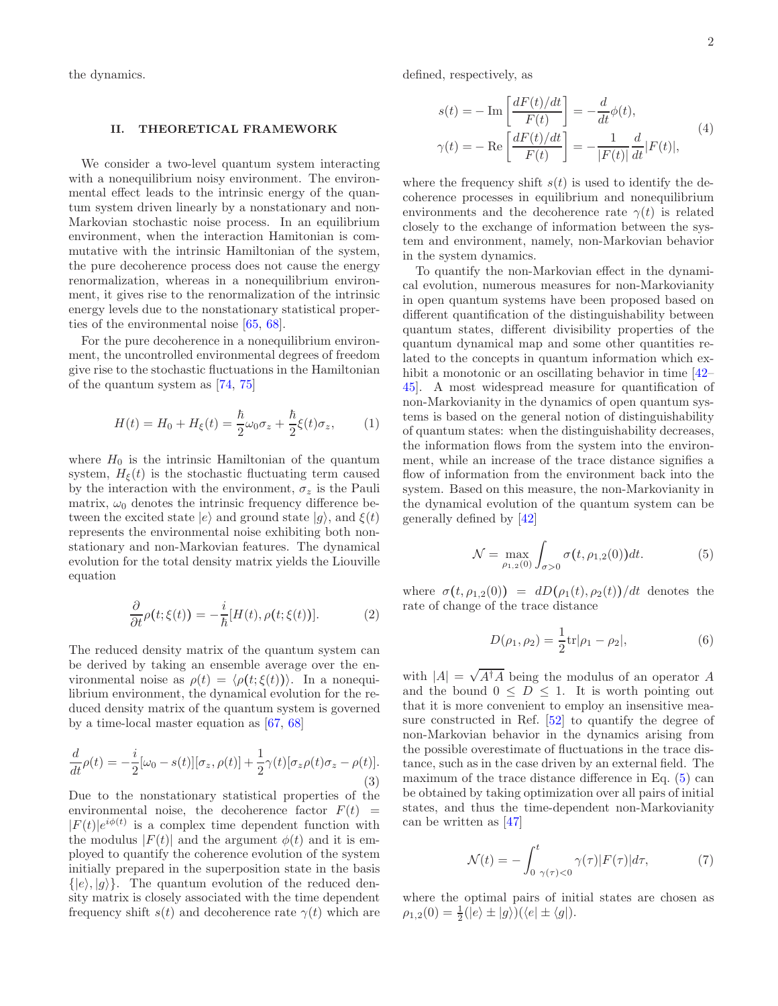the dynamics.

#### II. THEORETICAL FRAMEWORK

We consider a two-level quantum system interacting with a nonequilibrium noisy environment. The environmental effect leads to the intrinsic energy of the quantum system driven linearly by a nonstationary and non-Markovian stochastic noise process. In an equilibrium environment, when the interaction Hamitonian is commutative with the intrinsic Hamiltonian of the system, the pure decoherence process does not cause the energy renormalization, whereas in a nonequilibrium environment, it gives rise to the renormalization of the intrinsic energy levels due to the nonstationary statistical properties of the environmental noise [65, 68].

For the pure decoherence in a nonequilibrium environment, the uncontrolled environmental degrees of freedom give rise to the stochastic fluctuations in the Hamiltonian of the quantum system as [74, 75]

$$
H(t) = H_0 + H_{\xi}(t) = \frac{\hbar}{2}\omega_0 \sigma_z + \frac{\hbar}{2}\xi(t)\sigma_z, \qquad (1)
$$

where  $H_0$  is the intrinsic Hamiltonian of the quantum system,  $H_{\xi}(t)$  is the stochastic fluctuating term caused by the interaction with the environment,  $\sigma_z$  is the Pauli matrix,  $\omega_0$  denotes the intrinsic frequency difference between the excited state  $|e\rangle$  and ground state  $|g\rangle$ , and  $\xi(t)$ represents the environmental noise exhibiting both nonstationary and non-Markovian features. The dynamical evolution for the total density matrix yields the Liouville equation

$$
\frac{\partial}{\partial t}\rho(t;\xi(t)) = -\frac{i}{\hbar}[H(t),\rho(t;\xi(t))].\tag{2}
$$

The reduced density matrix of the quantum system can be derived by taking an ensemble average over the environmental noise as  $\rho(t) = \langle \rho(t; \xi(t)) \rangle$ . In a nonequilibrium environment, the dynamical evolution for the reduced density matrix of the quantum system is governed by a time-local master equation as [67, 68]

$$
\frac{d}{dt}\rho(t) = -\frac{i}{2}[\omega_0 - s(t)][\sigma_z, \rho(t)] + \frac{1}{2}\gamma(t)[\sigma_z \rho(t)\sigma_z - \rho(t)].
$$
\n(3)

Due to the nonstationary statistical properties of the environmental noise, the decoherence factor  $F(t)$  =  $|F(t)|e^{i\phi(t)}$  is a complex time dependent function with the modulus  $|F(t)|$  and the argument  $\phi(t)$  and it is employed to quantify the coherence evolution of the system initially prepared in the superposition state in the basis  $\{|e\rangle, |g\rangle\}.$  The quantum evolution of the reduced density matrix is closely associated with the time dependent frequency shift  $s(t)$  and decoherence rate  $\gamma(t)$  which are

defined, respectively, as

$$
s(t) = -\operatorname{Im}\left[\frac{dF(t)/dt}{F(t)}\right] = -\frac{d}{dt}\phi(t),
$$
  

$$
\gamma(t) = -\operatorname{Re}\left[\frac{dF(t)/dt}{F(t)}\right] = -\frac{1}{|F(t)|}\frac{d}{dt}|F(t)|,
$$
 (4)

where the frequency shift  $s(t)$  is used to identify the decoherence processes in equilibrium and nonequilibrium environments and the decoherence rate  $\gamma(t)$  is related closely to the exchange of information between the system and environment, namely, non-Markovian behavior in the system dynamics.

To quantify the non-Markovian effect in the dynamical evolution, numerous measures for non-Markovianity in open quantum systems have been proposed based on different quantification of the distinguishability between quantum states, different divisibility properties of the quantum dynamical map and some other quantities related to the concepts in quantum information which exhibit a monotonic or an oscillating behavior in time [42– 45]. A most widespread measure for quantification of non-Markovianity in the dynamics of open quantum systems is based on the general notion of distinguishability of quantum states: when the distinguishability decreases, the information flows from the system into the environment, while an increase of the trace distance signifies a flow of information from the environment back into the system. Based on this measure, the non-Markovianity in the dynamical evolution of the quantum system can be generally defined by [42]

$$
\mathcal{N} = \max_{\rho_{1,2}(0)} \int_{\sigma > 0} \sigma(t, \rho_{1,2}(0)) dt.
$$
 (5)

where  $\sigma(t, \rho_{1,2}(0)) = dD(\rho_1(t), \rho_2(t))/dt$  denotes the rate of change of the trace distance

$$
D(\rho_1, \rho_2) = \frac{1}{2} \text{tr} |\rho_1 - \rho_2|,\tag{6}
$$

with  $|A| = \sqrt{A^{\dagger}A}$  being the modulus of an operator A and the bound  $0 \leq D \leq 1$ . It is worth pointing out that it is more convenient to employ an insensitive measure constructed in Ref. [52] to quantify the degree of non-Markovian behavior in the dynamics arising from the possible overestimate of fluctuations in the trace distance, such as in the case driven by an external field. The maximum of the trace distance difference in Eq.  $(5)$  can be obtained by taking optimization over all pairs of initial states, and thus the time-dependent non-Markovianity can be written as [47]

$$
\mathcal{N}(t) = -\int_{0}^{t} \gamma(\tau) \langle \tau \rangle |F(\tau)| d\tau, \tag{7}
$$

where the optimal pairs of initial states are chosen as  $\rho_{1,2}(0) = \frac{1}{2}(|e\rangle \pm |g\rangle)(\langle e| \pm \langle g|).$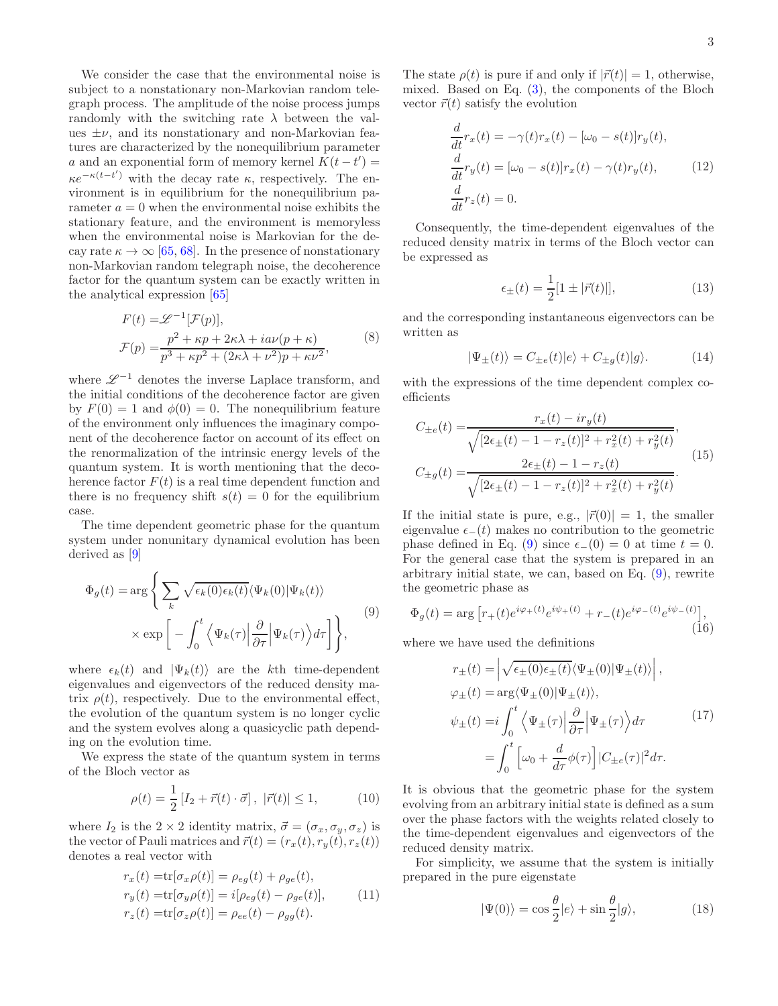We consider the case that the environmental noise is subject to a nonstationary non-Markovian random telegraph process. The amplitude of the noise process jumps randomly with the switching rate  $\lambda$  between the values  $\pm \nu$ , and its nonstationary and non-Markovian features are characterized by the nonequilibrium parameter a and an exponential form of memory kernel  $K(t-t') =$  $\kappa e^{-\kappa(t-t')}$  with the decay rate  $\kappa$ , respectively. The environment is in equilibrium for the nonequilibrium parameter  $a = 0$  when the environmental noise exhibits the stationary feature, and the environment is memoryless when the environmental noise is Markovian for the decay rate  $\kappa \to \infty$  [65, 68]. In the presence of nonstationary non-Markovian random telegraph noise, the decoherence factor for the quantum system can be exactly written in the analytical expression [65]

$$
F(t) = \mathcal{L}^{-1}[\mathcal{F}(p)],
$$
  
\n
$$
\mathcal{F}(p) = \frac{p^2 + \kappa p + 2\kappa\lambda + i a \nu (p + \kappa)}{p^3 + \kappa p^2 + (2\kappa\lambda + \nu^2)p + \kappa \nu^2},
$$
\n(8)

where  $\mathscr{L}^{-1}$  denotes the inverse Laplace transform, and the initial conditions of the decoherence factor are given by  $F(0) = 1$  and  $\phi(0) = 0$ . The nonequilibrium feature of the environment only influences the imaginary component of the decoherence factor on account of its effect on the renormalization of the intrinsic energy levels of the quantum system. It is worth mentioning that the decoherence factor  $F(t)$  is a real time dependent function and there is no frequency shift  $s(t) = 0$  for the equilibrium case.

The time dependent geometric phase for the quantum system under nonunitary dynamical evolution has been derived as [9]

$$
\Phi_g(t) = \arg \left\{ \sum_k \sqrt{\epsilon_k(0) \epsilon_k(t)} \langle \Psi_k(0) | \Psi_k(t) \rangle \right. \n\times \exp \left[ - \int_0^t \left\langle \Psi_k(\tau) \Big| \frac{\partial}{\partial \tau} \Big| \Psi_k(\tau) \right\rangle d\tau \right] \right\},
$$
\n(9)

where  $\epsilon_k(t)$  and  $|\Psi_k(t)\rangle$  are the kth time-dependent eigenvalues and eigenvectors of the reduced density matrix  $\rho(t)$ , respectively. Due to the environmental effect, the evolution of the quantum system is no longer cyclic and the system evolves along a quasicyclic path depending on the evolution time.

We express the state of the quantum system in terms of the Bloch vector as

$$
\rho(t) = \frac{1}{2} \left[ I_2 + \vec{r}(t) \cdot \vec{\sigma} \right], \ |\vec{r}(t)| \le 1,
$$
\n(10)

where  $I_2$  is the  $2 \times 2$  identity matrix,  $\vec{\sigma} = (\sigma_x, \sigma_y, \sigma_z)$  is the vector of Pauli matrices and  $\vec{r}(t) = (r_x(t), r_y(t), r_z(t))$ denotes a real vector with

$$
r_x(t) = \text{tr}[\sigma_x \rho(t)] = \rho_{eg}(t) + \rho_{ge}(t),
$$
  
\n
$$
r_y(t) = \text{tr}[\sigma_y \rho(t)] = i[\rho_{eg}(t) - \rho_{ge}(t)],
$$
  
\n
$$
r_z(t) = \text{tr}[\sigma_z \rho(t)] = \rho_{ee}(t) - \rho_{gg}(t).
$$
\n(11)

The state  $\rho(t)$  is pure if and only if  $|\vec{r}(t)| = 1$ , otherwise, mixed. Based on Eq. (3), the components of the Bloch vector  $\vec{r}(t)$  satisfy the evolution

$$
\frac{d}{dt}r_x(t) = -\gamma(t)r_x(t) - [\omega_0 - s(t)]r_y(t),
$$
\n
$$
\frac{d}{dt}r_y(t) = [\omega_0 - s(t)]r_x(t) - \gamma(t)r_y(t),
$$
\n
$$
\frac{d}{dt}r_z(t) = 0.
$$
\n(12)

Consequently, the time-dependent eigenvalues of the reduced density matrix in terms of the Bloch vector can be expressed as

$$
\epsilon_{\pm}(t) = \frac{1}{2}[1 \pm |\vec{r}(t)|],\tag{13}
$$

and the corresponding instantaneous eigenvectors can be written as

$$
|\Psi_{\pm}(t)\rangle = C_{\pm e}(t)|e\rangle + C_{\pm g}(t)|g\rangle.
$$
 (14)

with the expressions of the time dependent complex coefficients

$$
C_{\pm e}(t) = \frac{r_x(t) - ir_y(t)}{\sqrt{[2\epsilon_{\pm}(t) - 1 - r_z(t)]^2 + r_x^2(t) + r_y^2(t)}},
$$
  
\n
$$
C_{\pm g}(t) = \frac{2\epsilon_{\pm}(t) - 1 - r_z(t)}{\sqrt{[2\epsilon_{\pm}(t) - 1 - r_z(t)]^2 + r_x^2(t) + r_y^2(t)}}.
$$
\n(15)

If the initial state is pure, e.g.,  $|\vec{r}(0)| = 1$ , the smaller eigenvalue  $\epsilon_-(t)$  makes no contribution to the geometric phase defined in Eq. (9) since  $\epsilon_-(0) = 0$  at time  $t = 0$ . For the general case that the system is prepared in an arbitrary initial state, we can, based on Eq. (9), rewrite the geometric phase as

$$
\Phi_g(t) = \arg \left[ r_+(t)e^{i\varphi_+(t)}e^{i\psi_+(t)} + r_-(t)e^{i\varphi_-(t)}e^{i\psi_-(t)} \right],
$$
\n(16)

where we have used the definitions

$$
r_{\pm}(t) = \left| \sqrt{\epsilon_{\pm}(0)\epsilon_{\pm}(t)} \langle \Psi_{\pm}(0) | \Psi_{\pm}(t) \rangle \right|,
$$
  
\n
$$
\varphi_{\pm}(t) = \arg \langle \Psi_{\pm}(0) | \Psi_{\pm}(t) \rangle,
$$
  
\n
$$
\psi_{\pm}(t) = i \int_0^t \langle \Psi_{\pm}(\tau) | \frac{\partial}{\partial \tau} | \Psi_{\pm}(\tau) \rangle d\tau
$$
  
\n
$$
= \int_0^t \left[ \omega_0 + \frac{d}{d\tau} \phi(\tau) \right] |C_{\pm e}(\tau)|^2 d\tau.
$$
\n(17)

It is obvious that the geometric phase for the system evolving from an arbitrary initial state is defined as a sum over the phase factors with the weights related closely to the time-dependent eigenvalues and eigenvectors of the reduced density matrix.

For simplicity, we assume that the system is initially prepared in the pure eigenstate

$$
|\Psi(0)\rangle = \cos\frac{\theta}{2}|e\rangle + \sin\frac{\theta}{2}|g\rangle, \tag{18}
$$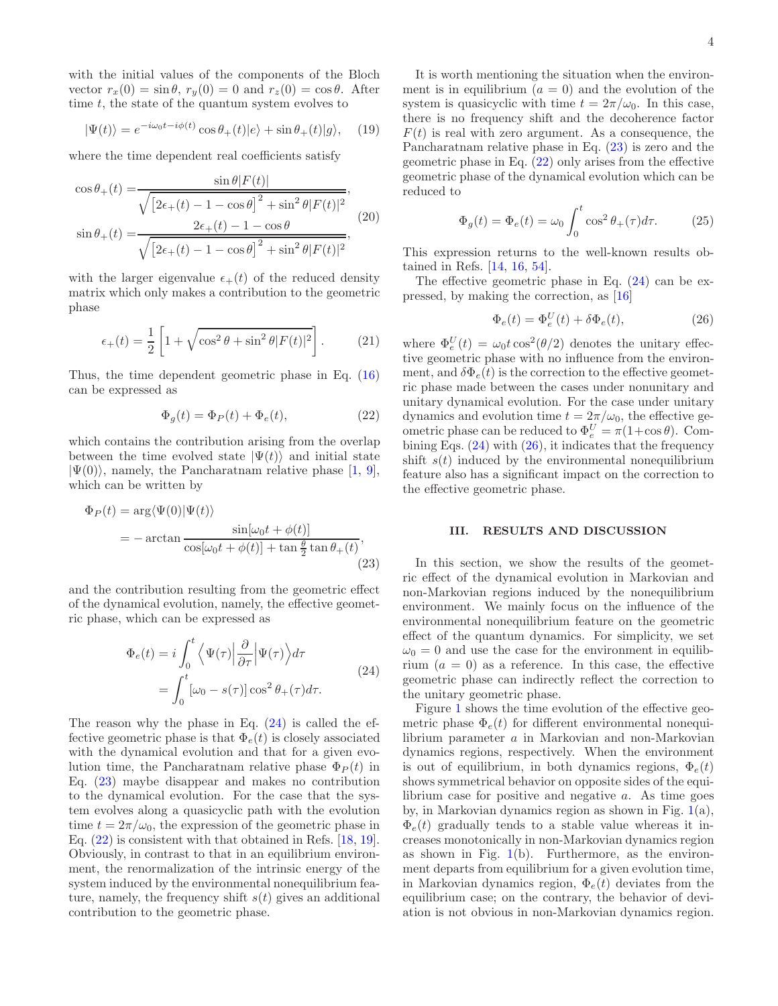with the initial values of the components of the Bloch vector  $r_x(0) = \sin \theta$ ,  $r_y(0) = 0$  and  $r_z(0) = \cos \theta$ . After time  $t$ , the state of the quantum system evolves to

$$
|\Psi(t)\rangle = e^{-i\omega_0 t - i\phi(t)} \cos \theta_+(t) |e\rangle + \sin \theta_+(t) |g\rangle, \quad (19)
$$

where the time dependent real coefficients satisfy

$$
\cos \theta_{+}(t) = \frac{\sin \theta |F(t)|}{\sqrt{[2\epsilon_{+}(t) - 1 - \cos \theta]^{2} + \sin^{2} \theta |F(t)|^{2}}},
$$

$$
\sin \theta_{+}(t) = \frac{2\epsilon_{+}(t) - 1 - \cos \theta}{\sqrt{[2\epsilon_{+}(t) - 1 - \cos \theta]^{2} + \sin^{2} \theta |F(t)|^{2}}},
$$
(20)

with the larger eigenvalue  $\epsilon_{+}(t)$  of the reduced density matrix which only makes a contribution to the geometric phase

$$
\epsilon_+(t) = \frac{1}{2} \left[ 1 + \sqrt{\cos^2 \theta + \sin^2 \theta |F(t)|^2} \right].
$$
 (21)

Thus, the time dependent geometric phase in Eq. (16) can be expressed as

$$
\Phi_g(t) = \Phi_P(t) + \Phi_e(t),\tag{22}
$$

which contains the contribution arising from the overlap between the time evolved state  $|\Psi(t)\rangle$  and initial state  $|\Psi(0)\rangle$ , namely, the Pancharatnam relative phase [1, 9], which can be written by

$$
\Phi_P(t) = \arg \langle \Psi(0) | \Psi(t) \rangle
$$
  
= - arctan 
$$
\frac{\sin[\omega_0 t + \phi(t)]}{\cos[\omega_0 t + \phi(t)] + \tan \frac{\theta}{2} \tan \theta_+(t)},
$$
(23)

and the contribution resulting from the geometric effect of the dynamical evolution, namely, the effective geometric phase, which can be expressed as

$$
\Phi_e(t) = i \int_0^t \left\langle \Psi(\tau) \Big| \frac{\partial}{\partial \tau} \Big| \Psi(\tau) \right\rangle d\tau
$$
\n
$$
= \int_0^t \left[ \omega_0 - s(\tau) \right] \cos^2 \theta_+(\tau) d\tau.
$$
\n(24)

The reason why the phase in Eq. (24) is called the effective geometric phase is that  $\Phi_e(t)$  is closely associated with the dynamical evolution and that for a given evolution time, the Pancharatnam relative phase  $\Phi_P(t)$  in Eq. (23) maybe disappear and makes no contribution to the dynamical evolution. For the case that the system evolves along a quasicyclic path with the evolution time  $t = 2\pi/\omega_0$ , the expression of the geometric phase in Eq. (22) is consistent with that obtained in Refs. [18, 19]. Obviously, in contrast to that in an equilibrium environment, the renormalization of the intrinsic energy of the system induced by the environmental nonequilibrium feature, namely, the frequency shift  $s(t)$  gives an additional contribution to the geometric phase.

It is worth mentioning the situation when the environment is in equilibrium  $(a = 0)$  and the evolution of the system is quasicyclic with time  $t = 2\pi/\omega_0$ . In this case, there is no frequency shift and the decoherence factor  $F(t)$  is real with zero argument. As a consequence, the Pancharatnam relative phase in Eq. (23) is zero and the geometric phase in Eq. (22) only arises from the effective geometric phase of the dynamical evolution which can be reduced to

$$
\Phi_g(t) = \Phi_e(t) = \omega_0 \int_0^t \cos^2 \theta_+(\tau) d\tau.
$$
 (25)

This expression returns to the well-known results obtained in Refs. [14, 16, 54].

The effective geometric phase in Eq. (24) can be expressed, by making the correction, as [16]

$$
\Phi_e(t) = \Phi_e^U(t) + \delta \Phi_e(t),\tag{26}
$$

where  $\Phi_e^U(t) = \omega_0 t \cos^2(\theta/2)$  denotes the unitary effective geometric phase with no influence from the environment, and  $\delta \Phi_e(t)$  is the correction to the effective geometric phase made between the cases under nonunitary and unitary dynamical evolution. For the case under unitary dynamics and evolution time  $t = 2\pi/\omega_0$ , the effective geometric phase can be reduced to  $\Phi_e^U = \pi(1 + \cos \theta)$ . Combining Eqs.  $(24)$  with  $(26)$ , it indicates that the frequency shift  $s(t)$  induced by the environmental nonequilibrium feature also has a significant impact on the correction to the effective geometric phase.

### III. RESULTS AND DISCUSSION

In this section, we show the results of the geometric effect of the dynamical evolution in Markovian and non-Markovian regions induced by the nonequilibrium environment. We mainly focus on the influence of the environmental nonequilibrium feature on the geometric effect of the quantum dynamics. For simplicity, we set  $\omega_0 = 0$  and use the case for the environment in equilibrium  $(a = 0)$  as a reference. In this case, the effective geometric phase can indirectly reflect the correction to the unitary geometric phase.

Figure 1 shows the time evolution of the effective geometric phase  $\Phi_e(t)$  for different environmental nonequilibrium parameter a in Markovian and non-Markovian dynamics regions, respectively. When the environment is out of equilibrium, in both dynamics regions,  $\Phi_e(t)$ shows symmetrical behavior on opposite sides of the equilibrium case for positive and negative  $a$ . As time goes by, in Markovian dynamics region as shown in Fig.  $1(a)$ ,  $\Phi_e(t)$  gradually tends to a stable value whereas it increases monotonically in non-Markovian dynamics region as shown in Fig.  $1(b)$ . Furthermore, as the environment departs from equilibrium for a given evolution time, in Markovian dynamics region,  $\Phi_e(t)$  deviates from the equilibrium case; on the contrary, the behavior of deviation is not obvious in non-Markovian dynamics region.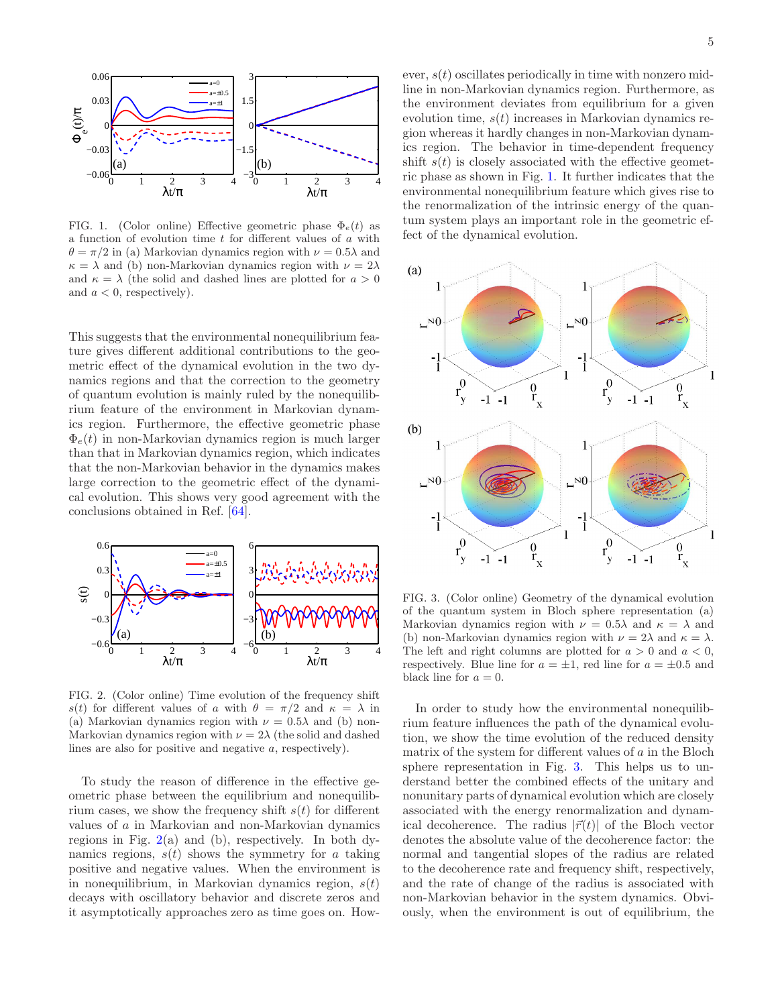

FIG. 1. (Color online) Effective geometric phase  $\Phi_e(t)$  as a function of evolution time  $t$  for different values of  $a$  with  $\theta = \pi/2$  in (a) Markovian dynamics region with  $\nu = 0.5\lambda$  and  $\kappa = \lambda$  and (b) non-Markovian dynamics region with  $\nu = 2\lambda$ and  $\kappa = \lambda$  (the solid and dashed lines are plotted for  $a > 0$ and  $a < 0$ , respectively).

This suggests that the environmental nonequilibrium feature gives different additional contributions to the geometric effect of the dynamical evolution in the two dynamics regions and that the correction to the geometry of quantum evolution is mainly ruled by the nonequilibrium feature of the environment in Markovian dynamics region. Furthermore, the effective geometric phase  $\Phi_e(t)$  in non-Markovian dynamics region is much larger than that in Markovian dynamics region, which indicates that the non-Markovian behavior in the dynamics makes large correction to the geometric effect of the dynamical evolution. This shows very good agreement with the conclusions obtained in Ref. [64].



FIG. 2. (Color online) Time evolution of the frequency shift s(t) for different values of a with  $\theta = \pi/2$  and  $\kappa = \lambda$  in (a) Markovian dynamics region with  $\nu = 0.5\lambda$  and (b) non-Markovian dynamics region with  $\nu = 2\lambda$  (the solid and dashed lines are also for positive and negative a, respectively).

To study the reason of difference in the effective geometric phase between the equilibrium and nonequilibrium cases, we show the frequency shift  $s(t)$  for different values of a in Markovian and non-Markovian dynamics regions in Fig.  $2(a)$  and (b), respectively. In both dynamics regions,  $s(t)$  shows the symmetry for a taking positive and negative values. When the environment is in nonequilibrium, in Markovian dynamics region,  $s(t)$ decays with oscillatory behavior and discrete zeros and it asymptotically approaches zero as time goes on. Howevolution time,  $s(t)$  increases in Markovian dynamics region whereas it hardly changes in non-Markovian dynamics region. The behavior in time-dependent frequency shift  $s(t)$  is closely associated with the effective geometric phase as shown in Fig. 1. It further indicates that the environmental nonequilibrium feature which gives rise to the renormalization of the intrinsic energy of the quantum system plays an important role in the geometric effect of the dynamical evolution.



FIG. 3. (Color online) Geometry of the dynamical evolution of the quantum system in Bloch sphere representation (a) Markovian dynamics region with  $\nu = 0.5\lambda$  and  $\kappa = \lambda$  and (b) non-Markovian dynamics region with  $\nu = 2\lambda$  and  $\kappa = \lambda$ . The left and right columns are plotted for  $a > 0$  and  $a < 0$ , respectively. Blue line for  $a = \pm 1$ , red line for  $a = \pm 0.5$  and black line for  $a = 0$ .

In order to study how the environmental nonequilibrium feature influences the path of the dynamical evolution, we show the time evolution of the reduced density matrix of the system for different values of a in the Bloch sphere representation in Fig. 3. This helps us to understand better the combined effects of the unitary and nonunitary parts of dynamical evolution which are closely associated with the energy renormalization and dynamical decoherence. The radius  $|\vec{r}(t)|$  of the Bloch vector denotes the absolute value of the decoherence factor: the normal and tangential slopes of the radius are related to the decoherence rate and frequency shift, respectively, and the rate of change of the radius is associated with non-Markovian behavior in the system dynamics. Obviously, when the environment is out of equilibrium, the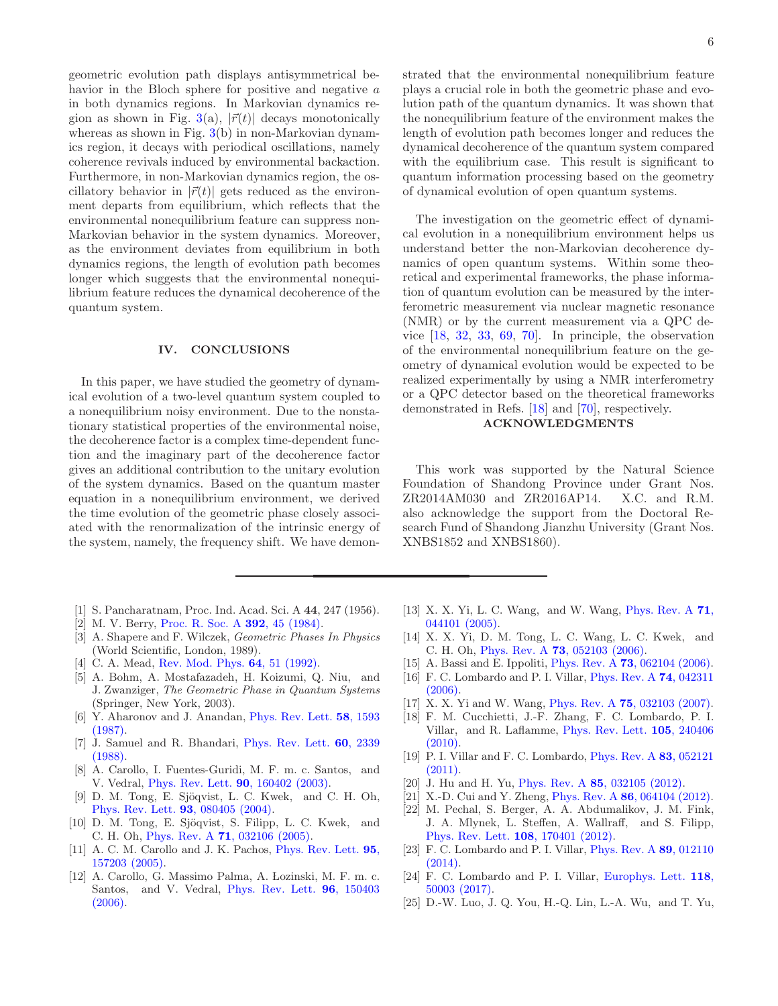geometric evolution path displays antisymmetrical behavior in the Bloch sphere for positive and negative a in both dynamics regions. In Markovian dynamics region as shown in Fig. 3(a),  $|\vec{r}(t)|$  decays monotonically whereas as shown in Fig.  $3(b)$  in non-Markovian dynamics region, it decays with periodical oscillations, namely coherence revivals induced by environmental backaction. Furthermore, in non-Markovian dynamics region, the oscillatory behavior in  $|\vec{r}(t)|$  gets reduced as the environment departs from equilibrium, which reflects that the environmental nonequilibrium feature can suppress non-Markovian behavior in the system dynamics. Moreover, as the environment deviates from equilibrium in both dynamics regions, the length of evolution path becomes longer which suggests that the environmental nonequilibrium feature reduces the dynamical decoherence of the quantum system.

### IV. CONCLUSIONS

In this paper, we have studied the geometry of dynamical evolution of a two-level quantum system coupled to a nonequilibrium noisy environment. Due to the nonstationary statistical properties of the environmental noise, the decoherence factor is a complex time-dependent function and the imaginary part of the decoherence factor gives an additional contribution to the unitary evolution of the system dynamics. Based on the quantum master equation in a nonequilibrium environment, we derived the time evolution of the geometric phase closely associated with the renormalization of the intrinsic energy of the system, namely, the frequency shift. We have demon-

- [1] S. Pancharatnam, Proc. Ind. Acad. Sci. A 44, 247 (1956).
- [2] M. V. Berry, Proc. R. Soc. A **392**, 45 (1984).
- [3] A. Shapere and F. Wilczek, Geometric Phases In Physics (World Scientific, London, 1989).
- [4] C. A. Mead, Rev. Mod. Phys. **64**, 51 (1992).
- [5] A. Bohm, A. Mostafazadeh, H. Koizumi, Q. Niu, and J. Zwanziger, The Geometric Phase in Quantum Systems (Springer, New York, 2003).
- [6] Y. Aharonov and J. Anandan, Phys. Rev. Lett. **58**, 1593 (1987).
- [7] J. Samuel and R. Bhandari, Phys. Rev. Lett. 60, 2339 (1988).
- [8] A. Carollo, I. Fuentes-Guridi, M. F. m. c. Santos, and V. Vedral, Phys. Rev. Lett. 90, 160402 (2003).
- [9] D. M. Tong, E. Sjöqvist, L. C. Kwek, and C. H. Oh, Phys. Rev. Lett. 93, 080405 (2004).
- [10] D. M. Tong, E. Sjöqvist, S. Filipp, L. C. Kwek, and C. H. Oh, Phys. Rev. A 71, 032106 (2005).
- [11] A. C. M. Carollo and J. K. Pachos, Phys. Rev. Lett. 95, 157203 (2005).
- [12] A. Carollo, G. Massimo Palma, A. Lozinski, M. F. m. c. Santos, and V. Vedral, Phys. Rev. Lett. 96, 150403  $(2006).$

strated that the environmental nonequilibrium feature plays a crucial role in both the geometric phase and evolution path of the quantum dynamics. It was shown that the nonequilibrium feature of the environment makes the length of evolution path becomes longer and reduces the dynamical decoherence of the quantum system compared with the equilibrium case. This result is significant to quantum information processing based on the geometry of dynamical evolution of open quantum systems.

The investigation on the geometric effect of dynamical evolution in a nonequilibrium environment helps us understand better the non-Markovian decoherence dynamics of open quantum systems. Within some theoretical and experimental frameworks, the phase information of quantum evolution can be measured by the interferometric measurement via nuclear magnetic resonance (NMR) or by the current measurement via a QPC device [18, 32, 33, 69, 70]. In principle, the observation of the environmental nonequilibrium feature on the geometry of dynamical evolution would be expected to be realized experimentally by using a NMR interferometry or a QPC detector based on the theoretical frameworks demonstrated in Refs. [18] and [70], respectively.

# ACKNOWLEDGMENTS

This work was supported by the Natural Science Foundation of Shandong Province under Grant Nos. ZR2014AM030 and ZR2016AP14. X.C. and R.M. also acknowledge the support from the Doctoral Research Fund of Shandong Jianzhu University (Grant Nos. XNBS1852 and XNBS1860).

- [13] X. X. Yi, L. C. Wang, and W. Wang, Phys. Rev. A 71, 044101 (2005).
- [14] X. X. Yi, D. M. Tong, L. C. Wang, L. C. Kwek, and C. H. Oh, Phys. Rev. A 73, 052103 (2006).
- [15] A. Bassi and E. Ippoliti, *Phys. Rev. A* **73**, 062104 (2006).
- [16] F. C. Lombardo and P. I. Villar, Phys. Rev. A 74, 042311 (2006).
- [17] X. X. Yi and W. Wang, Phys. Rev. A **75**, 032103 (2007).
- [18] F. M. Cucchietti, J.-F. Zhang, F. C. Lombardo, P. I. Villar, and R. Laflamme, Phys. Rev. Lett. 105, 240406 (2010).
- [19] P. I. Villar and F. C. Lombardo, Phys. Rev. A 83, 052121 (2011).
- [20] J. Hu and H. Yu, Phys. Rev. A 85, 032105 (2012).
- [21] X.-D. Cui and Y. Zheng, Phys. Rev. A **86**, 064104 (2012).
- [22] M. Pechal, S. Berger, A. A. Abdumalikov, J. M. Fink, J. A. Mlynek, L. Steffen, A. Wallraff, and S. Filipp, Phys. Rev. Lett. 108, 170401 (2012).
- [23] F. C. Lombardo and P. I. Villar, Phys. Rev. A 89, 012110 (2014).
- [24] F. C. Lombardo and P. I. Villar, Europhys. Lett. 118, 50003 (2017).
- [25] D.-W. Luo, J. Q. You, H.-Q. Lin, L.-A. Wu, and T. Yu,